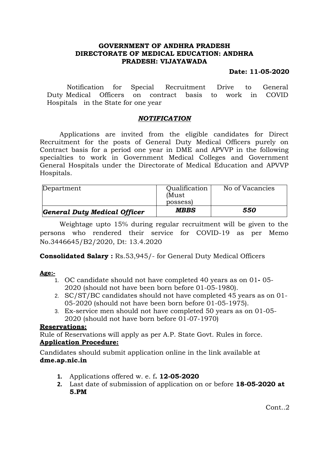## **GOVERNMENT OF ANDHRA PRADESH DIRECTORATE OF MEDICAL EDUCATION: ANDHRA PRADESH: VIJAYAWADA**

## **Date: 11-05-2020**

Notification for Special Recruitment Drive to General Duty Medical Officers on contract basis to work in COVID Hospitals in the State for one year

#### *NOTIFICATION*

Applications are invited from the eligible candidates for Direct Recruitment for the posts of General Duty Medical Officers purely on Contract basis for a period one year in DME and APVVP in the following specialties to work in Government Medical Colleges and Government General Hospitals under the Directorate of Medical Education and APVVP Hospitals.

| General Duty Medical Officer | <b>MBBS</b>   | 550             |
|------------------------------|---------------|-----------------|
|                              | possess)      |                 |
|                              | (Must         |                 |
| Department                   | Qualification | No of Vacancies |

Weightage upto 15% during regular recruitment will be given to the persons who rendered their service for COVID-19 as per Memo No.3446645/B2/2020, Dt: 13.4.2020

**Consolidated Salary :** Rs.53,945/- for General Duty Medical Officers

#### **Age:-**

- 1. OC candidate should not have completed 40 years as on 01**-** 05- 2020 (should not have been born before 01-05-1980).
- 2. SC/ST/BC candidates should not have completed 45 years as on 01- 05-2020 (should not have been born before 01-05-1975).
- 3. Ex-service men should not have completed 50 years as on 01-05- 2020 (should not have born before 01-07-1970)

## **Reservations:**

Rule of Reservations will apply as per A.P. State Govt. Rules in force.

## **Application Procedure:**

Candidates should submit application online in the link available at **dme.ap.nic.in**

- **1.** Applications offered w. e. f**. 12-05-2020**
- **2.** Last date of submission of application on or before **18-05-2020 at 5.PM**